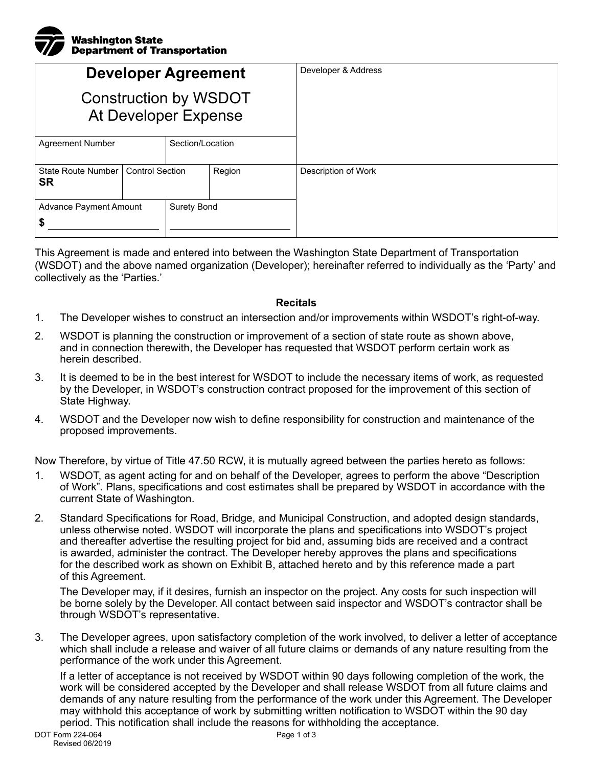## Washington State Department of Transportation

| <b>Developer Agreement</b><br><b>Construction by WSDOT</b><br>At Developer Expense |                        |                    |        | Developer & Address |
|------------------------------------------------------------------------------------|------------------------|--------------------|--------|---------------------|
| <b>Agreement Number</b>                                                            |                        | Section/Location   |        |                     |
| State Route Number<br><b>SR</b>                                                    | <b>Control Section</b> |                    | Region | Description of Work |
| <b>Advance Payment Amount</b><br>ъ                                                 |                        | <b>Surety Bond</b> |        |                     |

This Agreement is made and entered into between the Washington State Department of Transportation (WSDOT) and the above named organization (Developer); hereinafter referred to individually as the 'Party' and collectively as the 'Parties.'

## **Recitals**

- 1. The Developer wishes to construct an intersection and/or improvements within WSDOT's right-of-way.
- 2. WSDOT is planning the construction or improvement of a section of state route as shown above, and in connection therewith, the Developer has requested that WSDOT perform certain work as herein described.
- 3. It is deemed to be in the best interest for WSDOT to include the necessary items of work, as requested by the Developer, in WSDOT's construction contract proposed for the improvement of this section of State Highway.
- 4. WSDOT and the Developer now wish to define responsibility for construction and maintenance of the proposed improvements.

Now Therefore, by virtue of Title 47.50 RCW, it is mutually agreed between the parties hereto as follows:

- 1. WSDOT, as agent acting for and on behalf of the Developer, agrees to perform the above "Description of Work". Plans, specifications and cost estimates shall be prepared by WSDOT in accordance with the current State of Washington.
- 2. Standard Specifications for Road, Bridge, and Municipal Construction, and adopted design standards, unless otherwise noted. WSDOT will incorporate the plans and specifications into WSDOT's project and thereafter advertise the resulting project for bid and, assuming bids are received and a contract is awarded, administer the contract. The Developer hereby approves the plans and specifications for the described work as shown on Exhibit B, attached hereto and by this reference made a part of this Agreement.

The Developer may, if it desires, furnish an inspector on the project. Any costs for such inspection will be borne solely by the Developer. All contact between said inspector and WSDOT's contractor shall be through WSDOT's representative.

3. The Developer agrees, upon satisfactory completion of the work involved, to deliver a letter of acceptance which shall include a release and waiver of all future claims or demands of any nature resulting from the performance of the work under this Agreement.

If a letter of acceptance is not received by WSDOT within 90 days following completion of the work, the work will be considered accepted by the Developer and shall release WSDOT from all future claims and demands of any nature resulting from the performance of the work under this Agreement. The Developer may withhold this acceptance of work by submitting written notification to WSDOT within the 90 day period. This notification shall include the reasons for withholding the acceptance.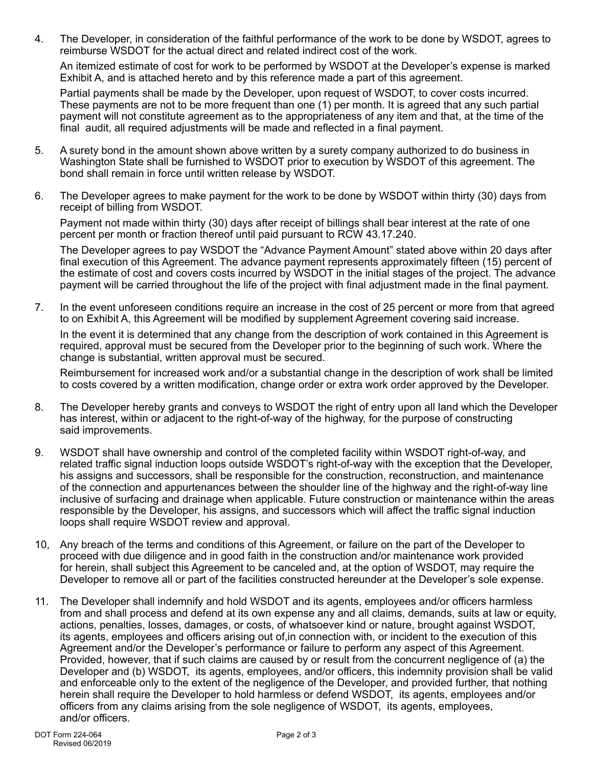4. The Developer, in consideration of the faithful performance of the work to be done by WSDOT, agrees to reimburse WSDOT for the actual direct and related indirect cost of the work.

An itemized estimate of cost for work to be performed by WSDOT at the Developer's expense is marked Exhibit A, and is attached hereto and by this reference made a part of this agreement.

Partial payments shall be made by the Developer, upon request of WSDOT, to cover costs incurred. These payments are not to be more frequent than one (1) per month. It is agreed that any such partial payment will not constitute agreement as to the appropriateness of any item and that, at the time of the final audit, all required adjustments will be made and reflected in a final payment.

- 5. A surety bond in the amount shown above written by a surety company authorized to do business in Washington State shall be furnished to WSDOT prior to execution by WSDOT of this agreement. The bond shall remain in force until written release by WSDOT.
- 6. The Developer agrees to make payment for the work to be done by WSDOT within thirty (30) days from receipt of billing from WSDOT.

Payment not made within thirty (30) days after receipt of billings shall bear interest at the rate of one percent per month or fraction thereof until paid pursuant to RCW 43.17.240.

The Developer agrees to pay WSDOT the "Advance Payment Amount" stated above within 20 days after final execution of this Agreement. The advance payment represents approximately fifteen (15) percent of the estimate of cost and covers costs incurred by WSDOT in the initial stages of the project. The advance payment will be carried throughout the life of the project with final adjustment made in the final payment.

7. In the event unforeseen conditions require an increase in the cost of 25 percent or more from that agreed to on Exhibit A, this Agreement will be modified by supplement Agreement covering said increase.

In the event it is determined that any change from the description of work contained in this Agreement is required, approval must be secured from the Developer prior to the beginning of such work. Where the change is substantial, written approval must be secured.

Reimbursement for increased work and/or a substantial change in the description of work shall be limited to costs covered by a written modification, change order or extra work order approved by the Developer.

- 8. The Developer hereby grants and conveys to WSDOT the right of entry upon all land which the Developer has interest, within or adjacent to the right-of-way of the highway, for the purpose of constructing said improvements.
- 9. WSDOT shall have ownership and control of the completed facility within WSDOT right-of-way, and related traffic signal induction loops outside WSDOT's right-of-way with the exception that the Developer, his assigns and successors, shall be responsible for the construction, reconstruction, and maintenance of the connection and appurtenances between the shoulder line of the highway and the right-of-way line inclusive of surfacing and drainage when applicable. Future construction or maintenance within the areas responsible by the Developer, his assigns, and successors which will affect the traffic signal induction loops shall require WSDOT review and approval.
- 10, Any breach of the terms and conditions of this Agreement, or failure on the part of the Developer to proceed with due diligence and in good faith in the construction and/or maintenance work provided for herein, shall subject this Agreement to be canceled and, at the option of WSDOT, may require the Developer to remove all or part of the facilities constructed hereunder at the Developer's sole expense.
- 11. The Developer shall indemnify and hold WSDOT and its agents, employees and/or officers harmless from and shall process and defend at its own expense any and all claims, demands, suits at law or equity, actions, penalties, losses, damages, or costs, of whatsoever kind or nature, brought against WSDOT, its agents, employees and officers arising out of,in connection with, or incident to the execution of this Agreement and/or the Developer's performance or failure to perform any aspect of this Agreement. Provided, however, that if such claims are caused by or result from the concurrent negligence of (a) the Developer and (b) WSDOT, its agents, employees, and/or officers, this indemnity provision shall be valid and enforceable only to the extent of the negligence of the Developer, and provided further, that nothing herein shall require the Developer to hold harmless or defend WSDOT, its agents, employees and/or officers from any claims arising from the sole negligence of WSDOT, its agents, employees, and/or officers.